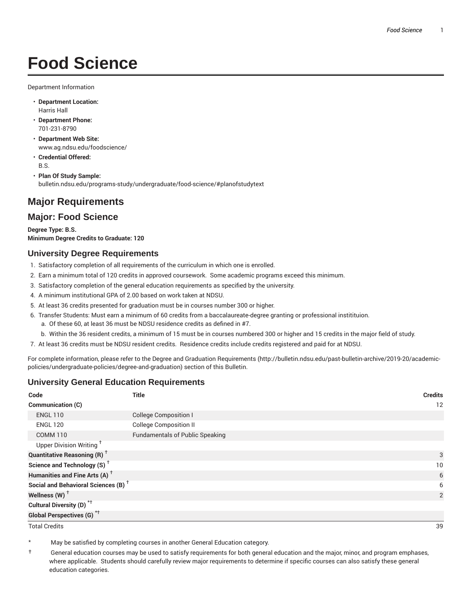# **Food Science**

Department Information

- **Department Location:** Harris Hall
- **Department Phone:** 701-231-8790
- **Department Web Site:** www.ag.ndsu.edu/foodscience/
- **Credential Offered:** B.S.
- **Plan Of Study Sample:** bulletin.ndsu.edu/programs-study/undergraduate/food-science/#planofstudytext

## **Major Requirements**

### **Major: Food Science**

**Degree Type: B.S. Minimum Degree Credits to Graduate: 120**

#### **University Degree Requirements**

- 1. Satisfactory completion of all requirements of the curriculum in which one is enrolled.
- 2. Earn a minimum total of 120 credits in approved coursework. Some academic programs exceed this minimum.
- 3. Satisfactory completion of the general education requirements as specified by the university.
- 4. A minimum institutional GPA of 2.00 based on work taken at NDSU.
- 5. At least 36 credits presented for graduation must be in courses number 300 or higher.
- 6. Transfer Students: Must earn a minimum of 60 credits from a baccalaureate-degree granting or professional institituion.
	- a. Of these 60, at least 36 must be NDSU residence credits as defined in #7.
	- b. Within the 36 resident credits, a minimum of 15 must be in courses numbered 300 or higher and 15 credits in the major field of study.
- 7. At least 36 credits must be NDSU resident credits. Residence credits include credits registered and paid for at NDSU.

For complete information, please refer to the Degree and Graduation Requirements (http://bulletin.ndsu.edu/past-bulletin-archive/2019-20/academicpolicies/undergraduate-policies/degree-and-graduation) section of this Bulletin.

#### **University General Education Requirements**

| Code                                            | <b>Title</b>                           | <b>Credits</b> |
|-------------------------------------------------|----------------------------------------|----------------|
| <b>Communication (C)</b>                        |                                        | 12             |
| <b>ENGL 110</b>                                 | <b>College Composition I</b>           |                |
| <b>ENGL 120</b>                                 | <b>College Composition II</b>          |                |
| <b>COMM 110</b>                                 | <b>Fundamentals of Public Speaking</b> |                |
| Upper Division Writing <sup>+</sup>             |                                        |                |
| <b>Quantitative Reasoning (R)</b> <sup>†</sup>  |                                        | 3              |
| Science and Technology (S) <sup>+</sup>         |                                        | 10             |
| Humanities and Fine Arts (A) <sup>+</sup>       |                                        | 6              |
| Social and Behavioral Sciences (B) <sup>+</sup> |                                        | 6              |
| Wellness $(W)$ <sup>+</sup>                     |                                        | 2              |
| Cultural Diversity (D) <sup>*†</sup>            |                                        |                |
| <b>Global Perspectives (G)<sup>*†</sup></b>     |                                        |                |

Total Credits 39

May be satisfied by completing courses in another General Education category.

† General education courses may be used to satisfy requirements for both general education and the major, minor, and program emphases, where applicable. Students should carefully review major requirements to determine if specific courses can also satisfy these general education categories.